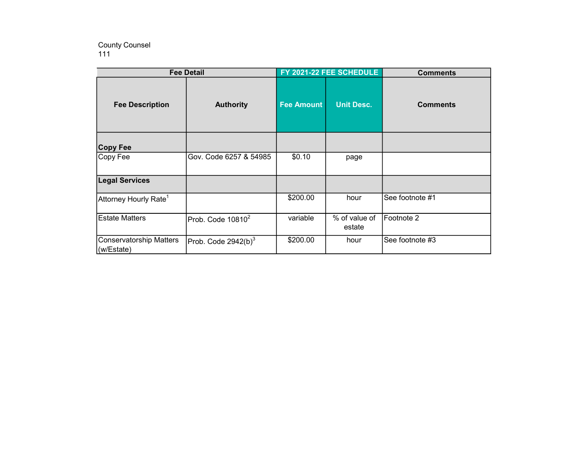## 111 County Counsel

| <b>Fee Detail</b>                            |                                 | FY 2021-22 FEE SCHEDULE |                         | <b>Comments</b> |
|----------------------------------------------|---------------------------------|-------------------------|-------------------------|-----------------|
| <b>Fee Description</b>                       | <b>Authority</b>                | <b>Fee Amount</b>       | <b>Unit Desc.</b>       | <b>Comments</b> |
| <b>Copy Fee</b>                              |                                 |                         |                         |                 |
| Copy Fee                                     | Gov. Code 6257 & 54985          | \$0.10                  | page                    |                 |
| <b>Legal Services</b>                        |                                 |                         |                         |                 |
| $\mathsf{Attorney}\,$ Hourly Rate $^1$       |                                 | \$200.00                | hour                    | See footnote #1 |
| <b>Estate Matters</b>                        | $ $ Prob. Code 10810 ${}^{2}$   | variable                | % of value of<br>estate | Footnote 2      |
| <b>Conservatorship Matters</b><br>(w/Estate) | Prob. Code 2942(b) <sup>3</sup> | \$200.00                | hour                    | See footnote #3 |